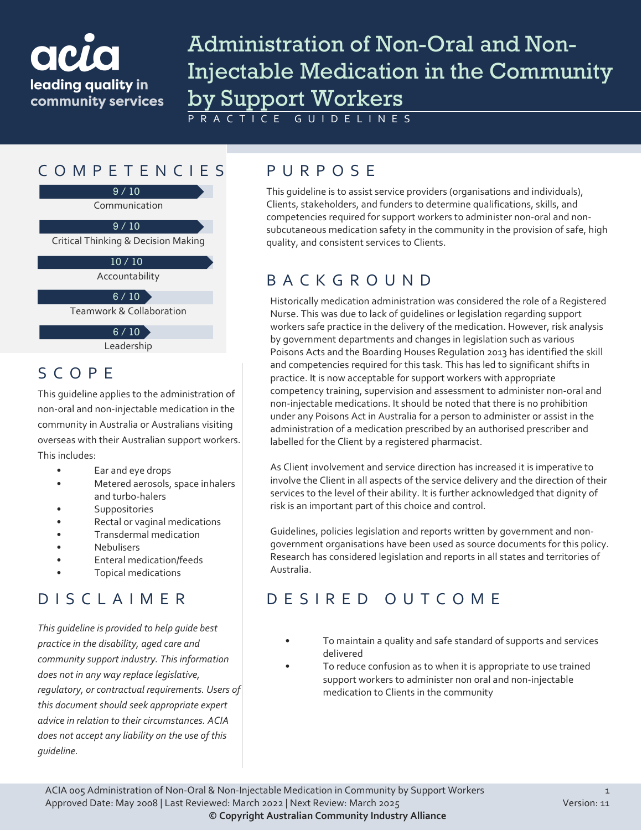

# Administration of Non-Oral and Non-Injectable Medication in the Community by Support Workers

PRACTICE GUIDELINES

## COMPETENCIES PURPOS E

9 / 10

Communication

 $9/10$ 

Critical Thinking & Decision Making

10 / 10

Accountability

 $6 / 10$ 

Teamwork & Collaboration

Leadership  $6/10$ 

SCOPE

This guideline applies to the administration of non-oral and non-injectable medication in the community in Australia or Australians visiting overseas with their Australian support workers. This includes:

- Ear and eye drops
- Metered aerosols, space inhalers and turbo-halers
- **Suppositories**
- Rectal or vaginal medications
- Transdermal medication
- Nebulisers
- Enteral medication/feeds
- Topical medications

## DISCLAIMER

*This guideline is provided to help guide best practice in the disability, aged care and community support industry. This information does not in any way replace legislative, regulatory, or contractual requirements. Users of this document should seek appropriate expert advice in relation to their circumstances. ACIA does not accept any liability on the use of this guideline.*

This guideline is to assist service providers (organisations and individuals), Clients, stakeholders, and funders to determine qualifications, skills, and competencies required for support workers to administer non-oral and nonsubcutaneous medication safety in the community in the provision of safe, high quality, and consistent services to Clients.

## BACKGROUND

Historically medication administration was considered the role of a Registered Nurse. This was due to lack of guidelines or legislation regarding support workers safe practice in the delivery of the medication. However, risk analysis by government departments and changes in legislation such as various Poisons Acts and the Boarding Houses Regulation 2013 has identified the skill and competencies required for this task. This has led to significant shifts in practice. It is now acceptable for support workers with appropriate competency training, supervision and assessment to administer non-oral and non-injectable medications. It should be noted that there is no prohibition under any Poisons Act in Australia for a person to administer or assist in the administration of a medication prescribed by an authorised prescriber and labelled for the Client by a registered pharmacist.

As Client involvement and service direction has increased it is imperative to involve the Client in all aspects of the service delivery and the direction of their services to the level of their ability. It is further acknowledged that dignity of risk is an important part of this choice and control.

Guidelines, policies legislation and reports written by government and nongovernment organisations have been used as source documents for this policy. Research has considered legislation and reports in all states and territories of Australia.

## DESIRED OUTCOME

- To maintain a quality and safe standard of supports and services delivered
- To reduce confusion as to when it is appropriate to use trained support workers to administer non oral and non-injectable medication to Clients in the community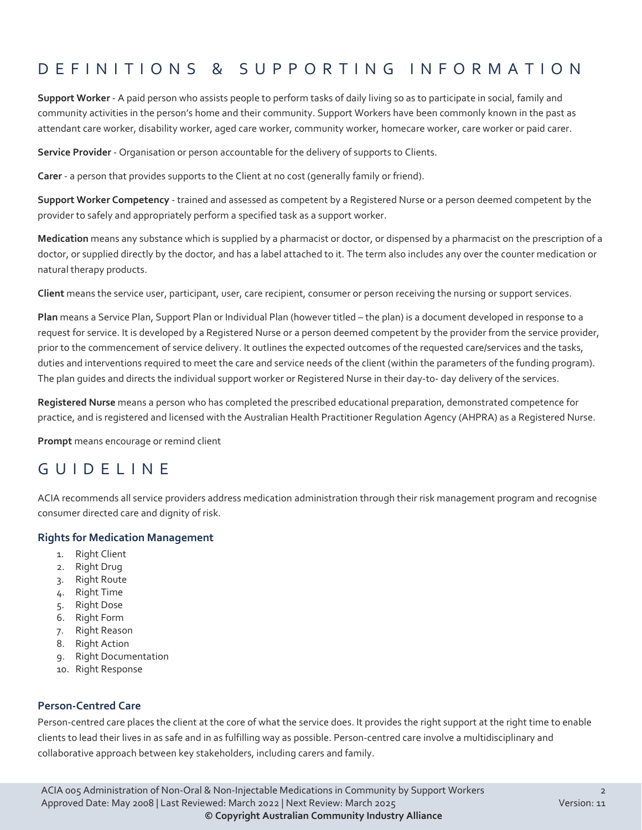## DEFINITIONS & SUPPORTING INFORMATIO N

**Support Worker** - A paid person who assists people to perform tasks of daily living so as to participate in social, family and community activities in the person's home and their community. Support Workers have been commonly known in the past as attendant care worker, disability worker, aged care worker, community worker, homecare worker, care worker or paid carer.

**Service Provider** - Organisation or person accountable for the delivery of supports to Clients.

**Carer** - a person that provides supports to the Client at no cost (generally family or friend).

**Support Worker Competency** - trained and assessed as competent by a Registered Nurse or a person deemed competent by the provider to safely and appropriately perform a specified task as a support worker.

**Medication** means any substance which is supplied by a pharmacist or doctor, or dispensed by a pharmacist on the prescription of a doctor, or supplied directly by the doctor, and has a label attached to it. The term also includes any over the counter medication or natural therapy products.

**Client** means the service user, participant, user, care recipient, consumer or person receiving the nursing or support services.

**Plan** means a Service Plan, Support Plan or Individual Plan (however titled – the plan) is a document developed in response to a request for service. It is developed by a Registered Nurse or a person deemed competent by the provider from the service provider, prior to the commencement of service delivery. It outlines the expected outcomes of the requested care/services and the tasks, duties and interventions required to meet the care and service needs of the client (within the parameters of the funding program). The plan guides and directs the individual support worker or Registered Nurse in their day-to- day delivery of the services.

**Registered Nurse** means a person who has completed the prescribed educational preparation, demonstrated competence for practice, and is registered and licensed with the Australian Health Practitioner Regulation Agency (AHPRA) as a Registered Nurse.

**Prompt** means encourage or remind client

#### GUIDELINE

ACIA recommends all service providers address medication administration through their risk management program and recognise consumer directed care and dignity of risk.

#### **Rights for Medication Management**

- 1. Right Client
- 2. Right Drug
- 3. Right Route
- 4. Right Time
- 5. Right Dose
- 6. Right Form
- 7. Right Reason
- 8. Right Action
- 9. Right Documentation
- 10. Right Response

#### **Person-Centred Care**

Person-centred care places the client at the core of what the service does. It provides the right support at the right time to enable clients to lead their lives in as safe and in as fulfilling way as possible. Person-centred care involve a multidisciplinary and collaborative approach between key stakeholders, including carers and family.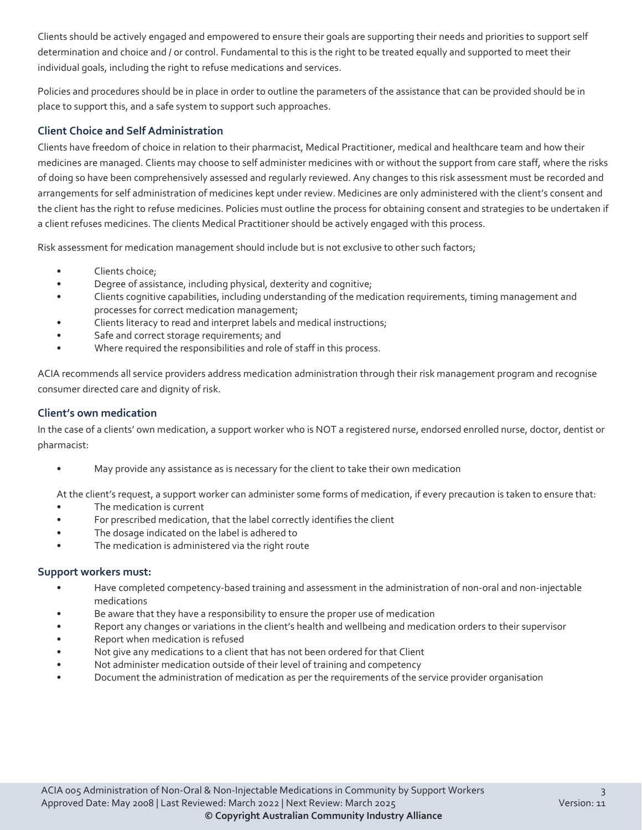Clients should be actively engaged and empowered to ensure their goals are supporting their needs and priorities to support self determination and choice and / or control. Fundamental to this is the right to be treated equally and supported to meet their individual goals, including the right to refuse medications and services.

Policies and procedures should be in place in order to outline the parameters of the assistance that can be provided should be in place to support this, and a safe system to support such approaches.

#### **Client Choice and Self Administration**

Clients have freedom of choice in relation to their pharmacist, Medical Practitioner, medical and healthcare team and how their medicines are managed. Clients may choose to self administer medicines with or without the support from care staff, where the risks of doing so have been comprehensively assessed and regularly reviewed. Any changes to this risk assessment must be recorded and arrangements for self administration of medicines kept under review. Medicines are only administered with the client's consent and the client has the right to refuse medicines. Policies must outline the process for obtaining consent and strategies to be undertaken if a client refuses medicines. The clients Medical Practitioner should be actively engaged with this process.

Risk assessment for medication management should include but is not exclusive to other such factors;

- Clients choice;
- Degree of assistance, including physical, dexterity and cognitive;
- Clients cognitive capabilities, including understanding of the medication requirements, timing management and processes for correct medication management;
- Clients literacy to read and interpret labels and medical instructions;
- Safe and correct storage requirements; and
- Where required the responsibilities and role of staff in this process.

ACIA recommends all service providers address medication administration through their risk management program and recognise consumer directed care and dignity of risk.

#### **Client's own medication**

In the case of a clients' own medication, a support worker who is NOT a registered nurse, endorsed enrolled nurse, doctor, dentist or pharmacist:

• May provide any assistance as is necessary for the client to take their own medication

At the client's request, a support worker can administer some forms of medication, if every precaution is taken to ensure that:

- The medication is current
- For prescribed medication, that the label correctly identifies the client
- The dosage indicated on the label is adhered to
- The medication is administered via the right route

#### **Support workers must:**

- Have completed competency-based training and assessment in the administration of non-oral and non-injectable medications
- Be aware that they have a responsibility to ensure the proper use of medication
- Report any changes or variations in the client's health and wellbeing and medication orders to their supervisor
- Report when medication is refused
- Not give any medications to a client that has not been ordered for that Client
- Not administer medication outside of their level of training and competency
- Document the administration of medication as per the requirements of the service provider organisation